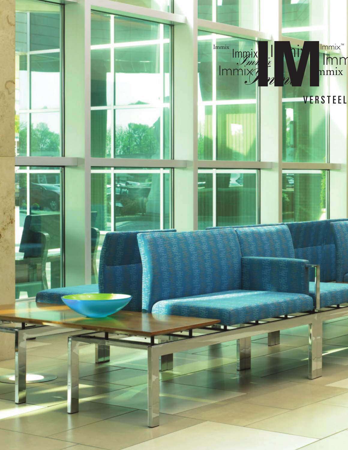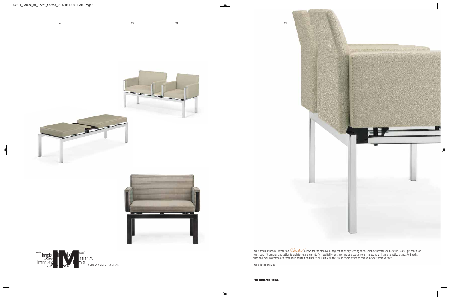Immix modular bench system from *Versteel* allows for the creative configuration of any seating need. Combine normal and bariatric in a single bench for healthcare, fit benches and tables to architectural elements for hospitality, or simply make a space more interesting with an alternative shape. Add backs, arms and even power/data for maximum comfort and utility, all built with the strong frame structure that you expect from Versteel. ®

Immix is the answer.

**MIX, BLEND AND MINGLE.**

04







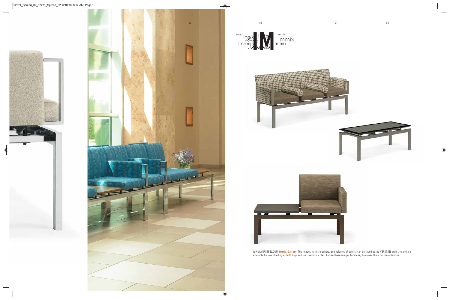



WWW.VERSTEEL.COM **Immix Gallery.** The images in this brochure, and volumes of others, can be found at the VERSTEEL web site and are available for downloading as both high and low resolution files. Peruse these images for ideas; download them for presentations.

Immix Immix Indian is a limmix

I I mix

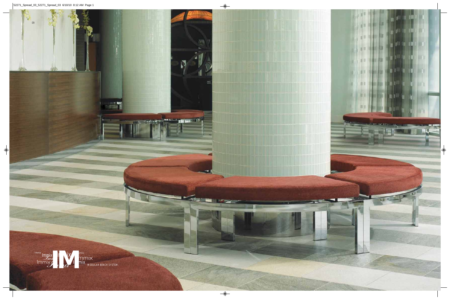

 $m = 7$ 

**THE REAL PROPERTY** 

÷

**IL PERSON** 

 $\frac{1}{2}$ 

1209

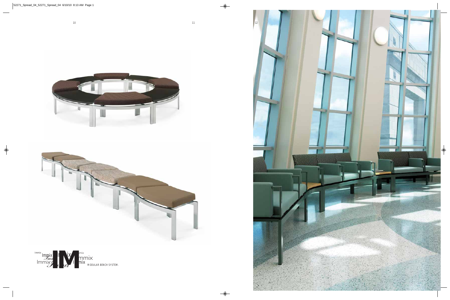



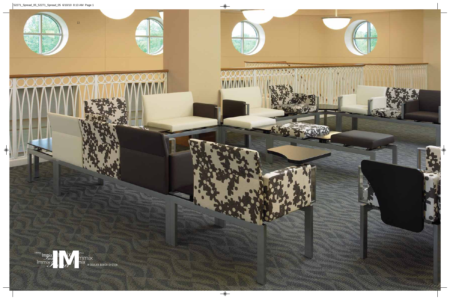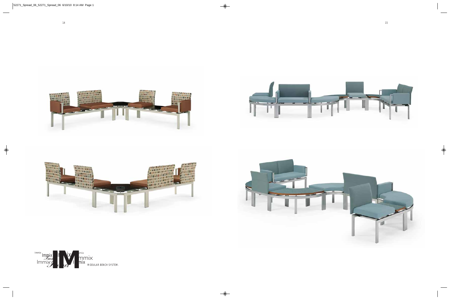







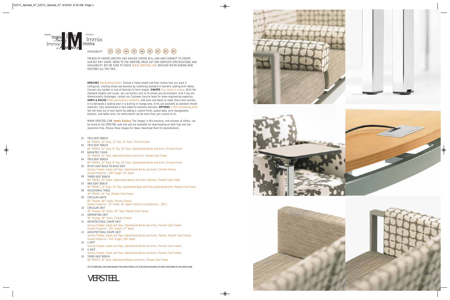FRAMES OF VARIED LENGTHS AND ANGLED CURVES WILL LINK AND CONNECT TO CREATE ALMOST ANY SHAPE. REFER TO THE VERSTEEL PRICE LIST FOR COMPLETE SPECIFICATIONS AND AVAILABILITY, BUT BE SURE TO CHECK WWW.VERSTEEL.COM BECAUSE WE'RE ADDING NEW FEATURES ALL THE TIME.

**BENCHES** The building blocks. Choose a frame length and then choose how you want it configured, creating mixed use benches by combining standard or bariatric seating with tables. Connect any number or size of benches to form shapes. **SHAPES** Your space is unique. With the standard lengths and curves, you can build a unit to fit almost any environment. And if you are dimensionally challenged, contact our Customer Service team for some engineering expertise. ARMS & BACKS Total specification flexibility. Add arms and backs to make chairs and couches, or to delineate a seating plan in a waiting or lounge area. Arms are available as standard (mixed material), fully upholstered or two-sided for backless benches. **OPTIONS** A little something extra. Get the most out of your bench by adding a custom finish, power/data, wire management, bolsters, and tablet arms. An Immix bench can be more than just a place to sit.

WWW.VERSTEEL.COM **Immix Gallery.** The images in this brochure, and volumes of others, can be found at the VERSTEEL web site and are available for downloading as both high and low



resolution files. Peruse these images for ideas; download them for presentations. 01 TWO-SEAT BENCH 66" FRAME, 20" Seat, 11" Top, 31" Seat, Chrome Frame 02 TWO-SEAT BENCH 66" FRAME, 31" Seat, 8" Top, 20" Seat, Upholstered Backs and Arms, Chrome Frame 03 BARIATRIC CHAIR 33" FRAME, 31" Seat, Upholstered Back and Arms, Powder Coat Frame TWO-SEAT BENCH 04 66" FRAME, 31" Seat, 8" Top, 20" Seat, Upholstered Backs and Arms, Chrome Frame MULTI-SEAT BACK-TO-BACK UNIT 05 Various Frames, Seats and Tops, Upholstered Backs and Arms, Chrome Frames Overall Footprint - 209" length, 55" depth THREE-SEAT BENCH 06 66" FRAME, 20" Seats, Upholstered Backs and Arms, Bolsters, Powder Coat Frame 07 ONE-SEAT BENCH 44" FRAME, 20" Seat, 22" Top, Upholstered Back and Fully Upholstered Arm, Powder Coat Frame 08 OCCASIONAL TABLE 44" FRAME, 44" Top, Powder Coat Frame 09 CIRCULAR UNITS 60° Frames, 60° Seats, Chrome Frames Overall Footprint - 92" width, 92" depth (interior circumference - 160") 10 CIRCULAR UNIT 45° Frames, 45° Seats, 45° Tops, Powder Coat Frames 11 SERPENTINE UNIT 30° Frames, 30° Seats, Chrome Frames 12 ARCHITECTURAL SHAPE UNIT Various Frames, Seats and Tops, Upholstered Backs and Arms, Powder Coat Frames Overall Footprint - 225" length, 57" depth 13 ARCHITECTURAL SHAPE UNIT Various Frames, Seats and Tops, Upholstered Backs and Arms, Tablets, Powder Coat Frames Overall Footprint - 214" length, 154" depth L-UNIT 14 Various Frames, Seats and Tops, Upholstered Backs and Arms, Powder Coat Frames 15 S-UNIT Various Frames, Seats and Tops, Upholstered Backs and Arms, Powder Coat Frames 16 THREE-SEAT BENCH 66" FRAME, 64" Seat, Upholstered Backs and Arms, Powder Coat Frame GO TO VERSTEEL.COM AND REVIEW THE IMMIX PRICE LIST FOR SPECIFICATIONS OF UNITS FEATURED IN THIS BROCHURE VERSTEEL